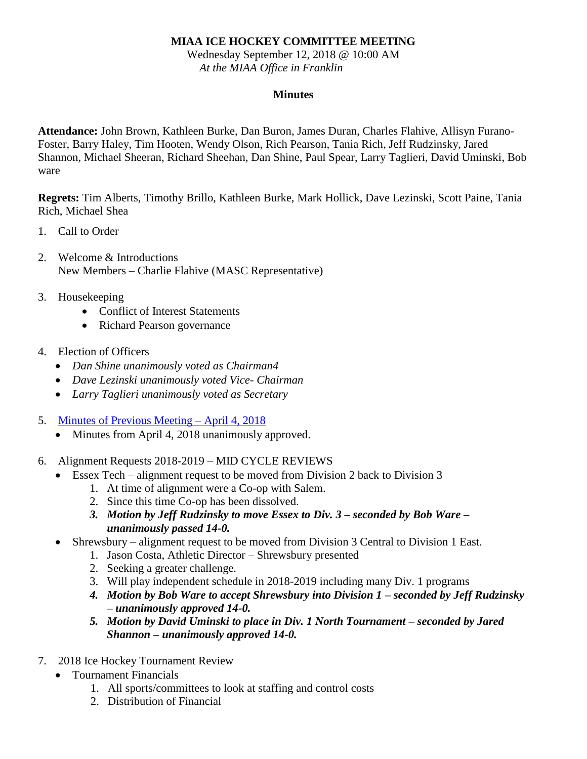## **MIAA ICE HOCKEY COMMITTEE MEETING**

Wednesday September 12, 2018 @ 10:00 AM *At the MIAA Office in Franklin*

## **Minutes**

**Attendance:** John Brown, Kathleen Burke, Dan Buron, James Duran, Charles Flahive, Allisyn Furano-Foster, Barry Haley, Tim Hooten, Wendy Olson, Rich Pearson, Tania Rich, Jeff Rudzinsky, Jared Shannon, Michael Sheeran, Richard Sheehan, Dan Shine, Paul Spear, Larry Taglieri, David Uminski, Bob ware

**Regrets:** Tim Alberts, Timothy Brillo, Kathleen Burke, Mark Hollick, Dave Lezinski, Scott Paine, Tania Rich, Michael Shea

- 1. Call to Order
- 2. Welcome & Introductions New Members – Charlie Flahive (MASC Representative)

## 3. Housekeeping

- Conflict of Interest Statements
- Richard Pearson governance
- 4. Election of Officers
	- *Dan Shine unanimously voted as Chairman4*
	- *Dave Lezinski unanimously voted Vice- Chairman*
	- *Larry Taglieri unanimously voted as Secretary*
- 5. [Minutes of Previous Meeting –](https://mail.quincypublicschools.com/owa/redir.aspx?C=7SC7XYPH8kODA2dWWybD4XAFEo84HtYI2ZOPWs-XDH5o3dhtcR9ZRrERJTZq8-OHB9JEtA758dM.&URL=http%3a%2f%2fmiaa.net%2fgen%2fmiaa_generated_bin%2fdocuments%2fbasic_module%2fMinute_April_4_2018_Draft.pdf) April 4, 2018
	- Minutes from April 4, 2018 unanimously approved.
- 6. Alignment Requests 2018-2019 MID CYCLE REVIEWS
	- Essex Tech alignment request to be moved from Division 2 back to Division 3
		- 1. At time of alignment were a Co-op with Salem.
		- 2. Since this time Co-op has been dissolved.
		- *3. Motion by Jeff Rudzinsky to move Essex to Div. 3 – seconded by Bob Ware – unanimously passed 14-0.*
	- Shrewsbury alignment request to be moved from Division 3 Central to Division 1 East.
		- 1. Jason Costa, Athletic Director Shrewsbury presented
		- 2. Seeking a greater challenge.
		- 3. Will play independent schedule in 2018-2019 including many Div. 1 programs
		- *4. Motion by Bob Ware to accept Shrewsbury into Division 1 – seconded by Jeff Rudzinsky – unanimously approved 14-0.*
		- *5. Motion by David Uminski to place in Div. 1 North Tournament – seconded by Jared Shannon – unanimously approved 14-0.*
- 7. 2018 Ice Hockey Tournament Review
	- Tournament Financials
		- 1. All sports/committees to look at staffing and control costs
		- 2. Distribution of Financial